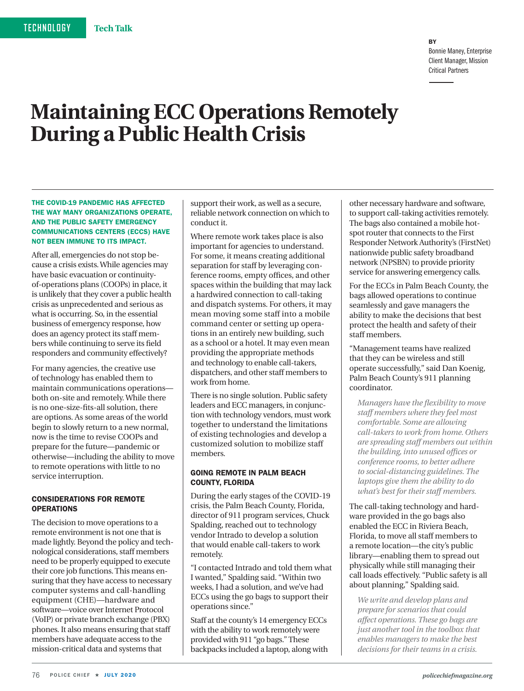#### **RY** Bonnie Maney, Enterprise Client Manager, Mission Critical Partners

# **Maintaining ECC Operations Remotely During a Public Health Crisis**

#### THE COVID-19 PANDEMIC HAS AFFECTED THE WAY MANY ORGANIZATIONS OPERATE, AND THE PUBLIC SAFETY EMERGENCY COMMUNICATIONS CENTERS (ECCS) HAVE NOT BEEN IMMUNE TO ITS IMPACT.

After all, emergencies do not stop because a crisis exists. While agencies may have basic evacuation or continuityof-operations plans (COOPs) in place, it is unlikely that they cover a public health crisis as unprecedented and serious as what is occurring. So, in the essential business of emergency response, how does an agency protect its staff members while continuing to serve its field responders and community effectively?

For many agencies, the creative use of technology has enabled them to maintain communications operations both on-site and remotely. While there is no one-size-fits-all solution, there are options. As some areas of the world begin to slowly return to a new normal, now is the time to revise COOPs and prepare for the future—pandemic or otherwise—including the ability to move to remote operations with little to no service interruption.

# CONSIDERATIONS FOR REMOTE **OPERATIONS**

The decision to move operations to a remote environment is not one that is made lightly. Beyond the policy and technological considerations, staff members need to be properly equipped to execute their core job functions. This means ensuring that they have access to necessary computer systems and call-handling equipment (CHE)—hardware and software—voice over Internet Protocol (VoIP) or private branch exchange (PBX) phones. It also means ensuring that staff members have adequate access to the mission-critical data and systems that

support their work, as well as a secure, reliable network connection on which to conduct it.

Where remote work takes place is also important for agencies to understand. For some, it means creating additional separation for staff by leveraging conference rooms, empty offices, and other spaces within the building that may lack a hardwired connection to call-taking and dispatch systems. For others, it may mean moving some staff into a mobile command center or setting up operations in an entirely new building, such as a school or a hotel. It may even mean providing the appropriate methods and technology to enable call-takers, dispatchers, and other staff members to work from home.

There is no single solution. Public safety leaders and ECC managers, in conjunction with technology vendors, must work together to understand the limitations of existing technologies and develop a customized solution to mobilize staff members.

## GOING REMOTE IN PALM BEACH COUNTY, FLORIDA

During the early stages of the COVID-19 crisis, the Palm Beach County, Florida, director of 911 program services, Chuck Spalding, reached out to technology vendor Intrado to develop a solution that would enable call-takers to work remotely.

"I contacted Intrado and told them what I wanted," Spalding said. "Within two weeks, I had a solution, and we've had ECCs using the go bags to support their operations since."

Staff at the county's 14 emergency ECCs with the ability to work remotely were provided with 911 "go bags." These backpacks included a laptop, along with other necessary hardware and software, to support call-taking activities remotely. The bags also contained a mobile hotspot router that connects to the First Responder Network Authority's (FirstNet) nationwide public safety broadband network (NPSBN) to provide priority service for answering emergency calls.

For the ECCs in Palm Beach County, the bags allowed operations to continue seamlessly and gave managers the ability to make the decisions that best protect the health and safety of their staff members.

"Management teams have realized that they can be wireless and still operate successfully," said Dan Koenig, Palm Beach County's 911 planning coordinator.

*Managers have the flexibility to move staff members where they feel most comfortable. Some are allowing call-takers to work from home. Others are spreading staff members out within the building, into unused offices or conference rooms, to better adhere to social-distancing guidelines. The laptops give them the ability to do what's best for their staff members.*

The call-taking technology and hardware provided in the go bags also enabled the ECC in Riviera Beach, Florida, to move all staff members to a remote location—the city's public library—enabling them to spread out physically while still managing their call loads effectively. "Public safety is all about planning," Spalding said.

*We write and develop plans and prepare for scenarios that could affect operations. These go bags are just another tool in the toolbox that enables managers to make the best decisions for their teams in a crisis.*